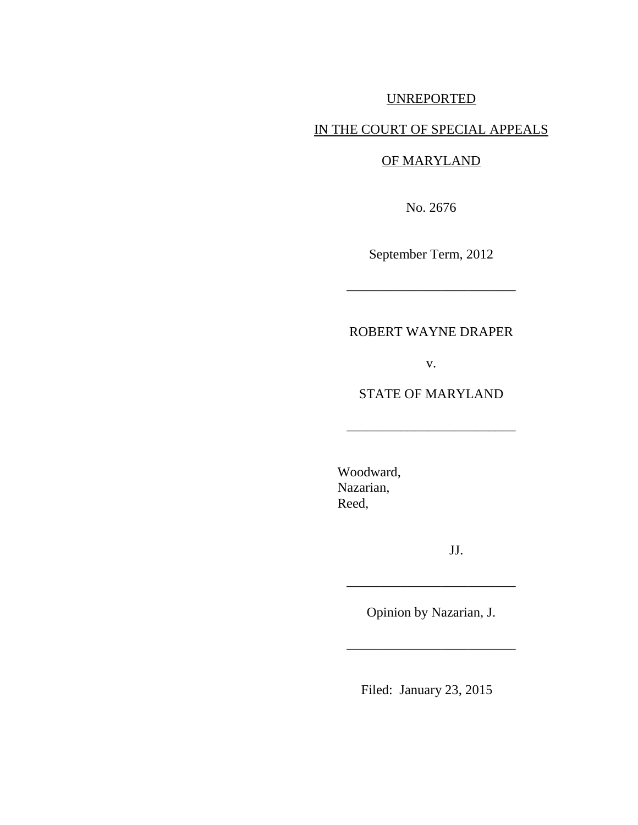# UNREPORTED

# IN THE COURT OF SPECIAL APPEALS

### OF MARYLAND

No. 2676

September Term, 2012

\_\_\_\_\_\_\_\_\_\_\_\_\_\_\_\_\_\_\_\_\_\_\_\_\_

# ROBERT WAYNE DRAPER

v.

## STATE OF MARYLAND

\_\_\_\_\_\_\_\_\_\_\_\_\_\_\_\_\_\_\_\_\_\_\_\_\_

Woodward, Nazarian, Reed,

JJ.

 $\mathcal{L}=\mathcal{L}=\mathcal{L}=\mathcal{L}=\mathcal{L}=\mathcal{L}=\mathcal{L}=\mathcal{L}=\mathcal{L}=\mathcal{L}=\mathcal{L}=\mathcal{L}=\mathcal{L}=\mathcal{L}=\mathcal{L}=\mathcal{L}=\mathcal{L}=\mathcal{L}=\mathcal{L}=\mathcal{L}=\mathcal{L}=\mathcal{L}=\mathcal{L}=\mathcal{L}=\mathcal{L}=\mathcal{L}=\mathcal{L}=\mathcal{L}=\mathcal{L}=\mathcal{L}=\mathcal{L}=\mathcal{L}=\mathcal{L}=\mathcal{L}=\mathcal{L}=\mathcal{L}=\mathcal{$ 

Opinion by Nazarian, J.

\_\_\_\_\_\_\_\_\_\_\_\_\_\_\_\_\_\_\_\_\_\_\_\_\_

Filed: January 23, 2015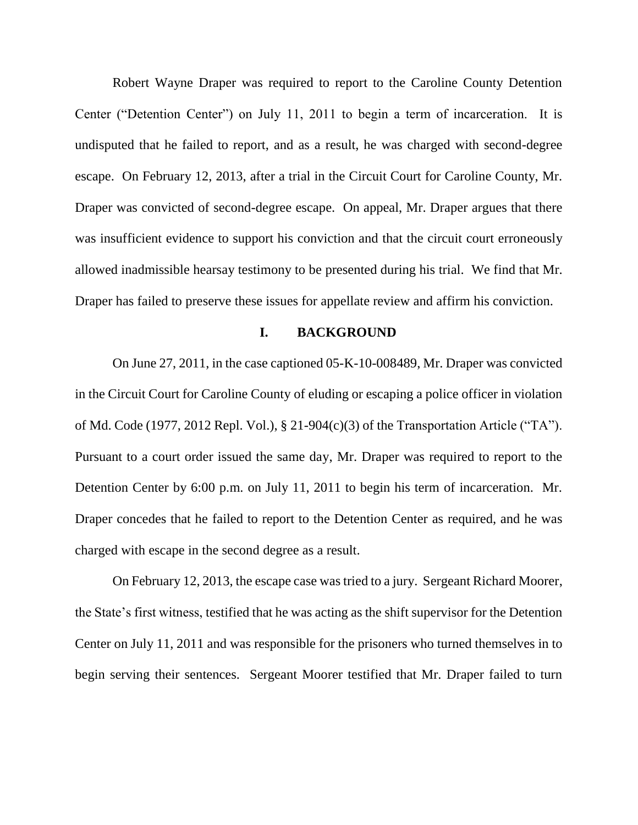Robert Wayne Draper was required to report to the Caroline County Detention Center ("Detention Center") on July 11, 2011 to begin a term of incarceration. It is undisputed that he failed to report, and as a result, he was charged with second-degree escape. On February 12, 2013, after a trial in the Circuit Court for Caroline County, Mr. Draper was convicted of second-degree escape. On appeal, Mr. Draper argues that there was insufficient evidence to support his conviction and that the circuit court erroneously allowed inadmissible hearsay testimony to be presented during his trial. We find that Mr. Draper has failed to preserve these issues for appellate review and affirm his conviction.

#### **I. BACKGROUND**

On June 27, 2011, in the case captioned 05-K-10-008489, Mr. Draper was convicted in the Circuit Court for Caroline County of eluding or escaping a police officer in violation of Md. Code (1977, 2012 Repl. Vol.), § 21-904(c)(3) of the Transportation Article ("TA"). Pursuant to a court order issued the same day, Mr. Draper was required to report to the Detention Center by 6:00 p.m. on July 11, 2011 to begin his term of incarceration. Mr. Draper concedes that he failed to report to the Detention Center as required, and he was charged with escape in the second degree as a result.

On February 12, 2013, the escape case was tried to a jury. Sergeant Richard Moorer, the State's first witness, testified that he was acting as the shift supervisor for the Detention Center on July 11, 2011 and was responsible for the prisoners who turned themselves in to begin serving their sentences. Sergeant Moorer testified that Mr. Draper failed to turn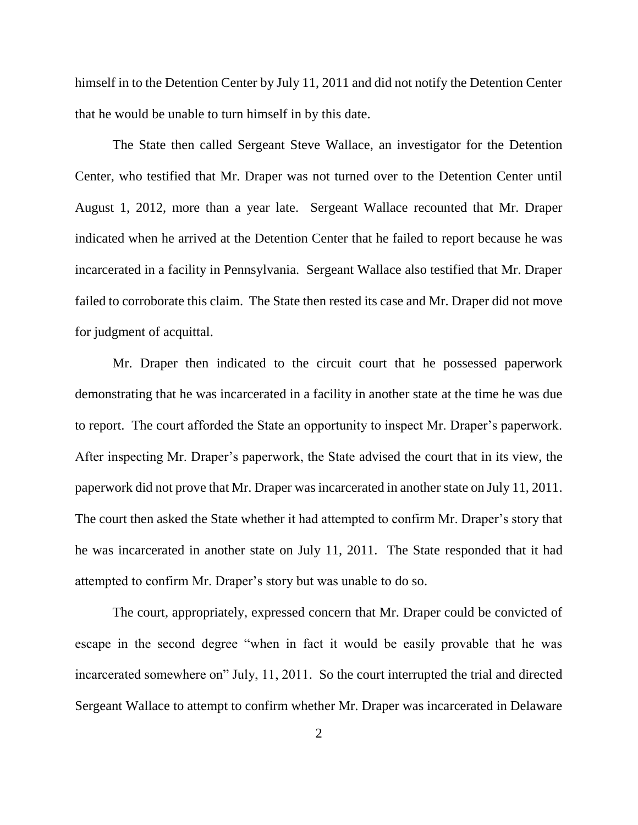himself in to the Detention Center by July 11, 2011 and did not notify the Detention Center that he would be unable to turn himself in by this date.

The State then called Sergeant Steve Wallace, an investigator for the Detention Center, who testified that Mr. Draper was not turned over to the Detention Center until August 1, 2012, more than a year late. Sergeant Wallace recounted that Mr. Draper indicated when he arrived at the Detention Center that he failed to report because he was incarcerated in a facility in Pennsylvania. Sergeant Wallace also testified that Mr. Draper failed to corroborate this claim. The State then rested its case and Mr. Draper did not move for judgment of acquittal.

Mr. Draper then indicated to the circuit court that he possessed paperwork demonstrating that he was incarcerated in a facility in another state at the time he was due to report. The court afforded the State an opportunity to inspect Mr. Draper's paperwork. After inspecting Mr. Draper's paperwork, the State advised the court that in its view, the paperwork did not prove that Mr. Draper was incarcerated in another state on July 11, 2011. The court then asked the State whether it had attempted to confirm Mr. Draper's story that he was incarcerated in another state on July 11, 2011. The State responded that it had attempted to confirm Mr. Draper's story but was unable to do so.

The court, appropriately, expressed concern that Mr. Draper could be convicted of escape in the second degree "when in fact it would be easily provable that he was incarcerated somewhere on" July, 11, 2011. So the court interrupted the trial and directed Sergeant Wallace to attempt to confirm whether Mr. Draper was incarcerated in Delaware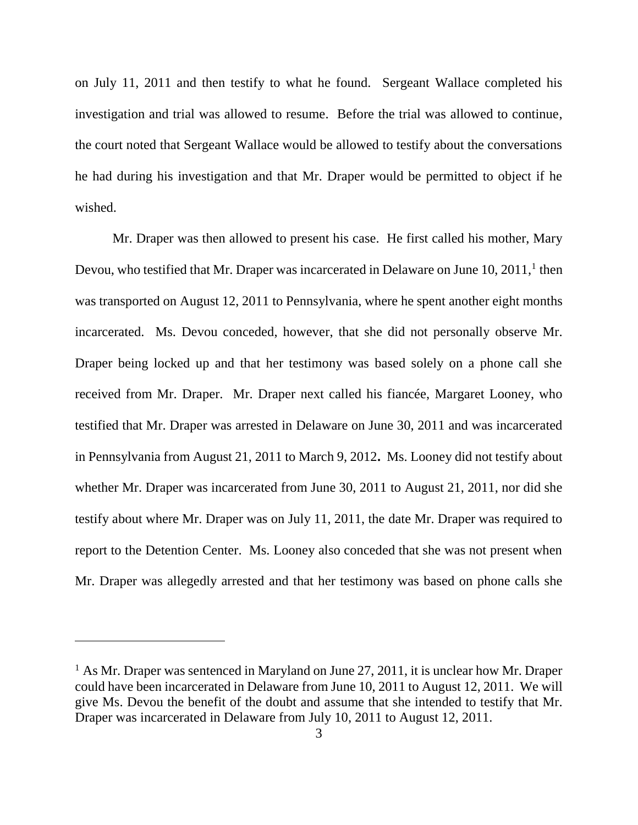on July 11, 2011 and then testify to what he found. Sergeant Wallace completed his investigation and trial was allowed to resume. Before the trial was allowed to continue, the court noted that Sergeant Wallace would be allowed to testify about the conversations he had during his investigation and that Mr. Draper would be permitted to object if he wished.

Mr. Draper was then allowed to present his case. He first called his mother, Mary Devou, who testified that Mr. Draper was incarcerated in Delaware on June 10, 2011,<sup>1</sup> then was transported on August 12, 2011 to Pennsylvania, where he spent another eight months incarcerated. Ms. Devou conceded, however, that she did not personally observe Mr. Draper being locked up and that her testimony was based solely on a phone call she received from Mr. Draper. Mr. Draper next called his fiancée, Margaret Looney, who testified that Mr. Draper was arrested in Delaware on June 30, 2011 and was incarcerated in Pennsylvania from August 21, 2011 to March 9, 2012**.** Ms. Looney did not testify about whether Mr. Draper was incarcerated from June 30, 2011 to August 21, 2011, nor did she testify about where Mr. Draper was on July 11, 2011, the date Mr. Draper was required to report to the Detention Center. Ms. Looney also conceded that she was not present when Mr. Draper was allegedly arrested and that her testimony was based on phone calls she

 $<sup>1</sup>$  As Mr. Draper was sentenced in Maryland on June 27, 2011, it is unclear how Mr. Draper</sup> could have been incarcerated in Delaware from June 10, 2011 to August 12, 2011. We will give Ms. Devou the benefit of the doubt and assume that she intended to testify that Mr. Draper was incarcerated in Delaware from July 10, 2011 to August 12, 2011.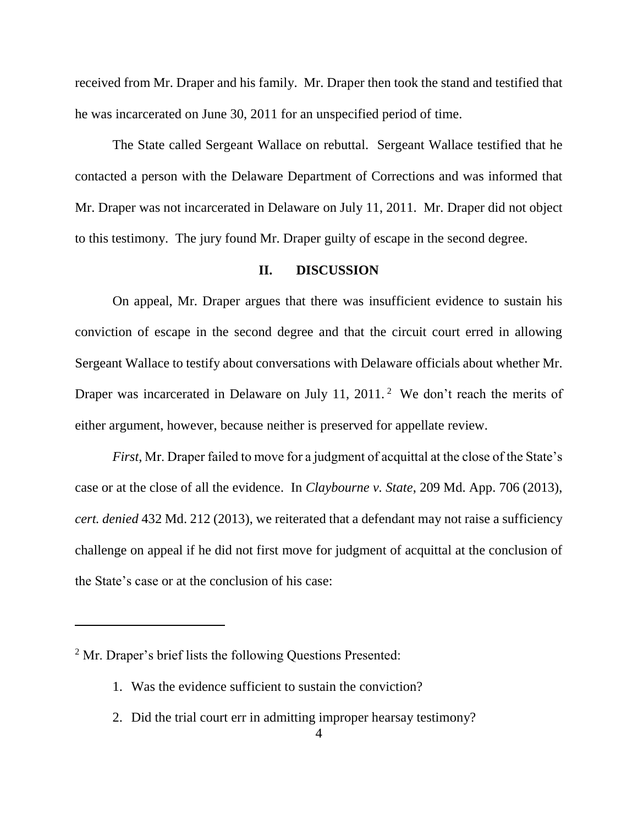received from Mr. Draper and his family. Mr. Draper then took the stand and testified that he was incarcerated on June 30, 2011 for an unspecified period of time.

The State called Sergeant Wallace on rebuttal. Sergeant Wallace testified that he contacted a person with the Delaware Department of Corrections and was informed that Mr. Draper was not incarcerated in Delaware on July 11, 2011. Mr. Draper did not object to this testimony. The jury found Mr. Draper guilty of escape in the second degree.

### **II. DISCUSSION**

On appeal, Mr. Draper argues that there was insufficient evidence to sustain his conviction of escape in the second degree and that the circuit court erred in allowing Sergeant Wallace to testify about conversations with Delaware officials about whether Mr. Draper was incarcerated in Delaware on July 11, 2011.<sup>2</sup> We don't reach the merits of either argument, however, because neither is preserved for appellate review.

*First*, Mr. Draper failed to move for a judgment of acquittal at the close of the State's case or at the close of all the evidence. In *Claybourne v. State*, 209 Md. App. 706 (2013), *cert. denied* 432 Md. 212 (2013), we reiterated that a defendant may not raise a sufficiency challenge on appeal if he did not first move for judgment of acquittal at the conclusion of the State's case or at the conclusion of his case:

- 1. Was the evidence sufficient to sustain the conviction?
- 2. Did the trial court err in admitting improper hearsay testimony?

<sup>&</sup>lt;sup>2</sup> Mr. Draper's brief lists the following Questions Presented: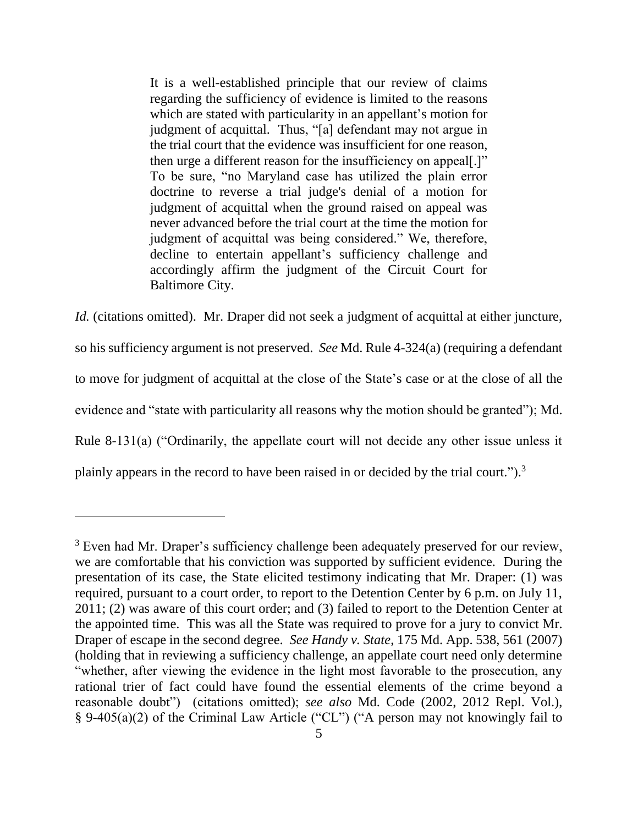It is a well-established principle that our review of claims regarding the sufficiency of evidence is limited to the reasons which are stated with particularity in an appellant's motion for judgment of acquittal. Thus, "[a] defendant may not argue in the trial court that the evidence was insufficient for one reason, then urge a different reason for the insufficiency on appeal[.]" To be sure, "no Maryland case has utilized the plain error doctrine to reverse a trial judge's denial of a motion for judgment of acquittal when the ground raised on appeal was never advanced before the trial court at the time the motion for judgment of acquittal was being considered." We, therefore, decline to entertain appellant's sufficiency challenge and accordingly affirm the judgment of the Circuit Court for Baltimore City.

*Id.* (citations omitted). Mr. Draper did not seek a judgment of acquittal at either juncture, so his sufficiency argument is not preserved. *See* Md. Rule 4-324(a) (requiring a defendant to move for judgment of acquittal at the close of the State's case or at the close of all the evidence and "state with particularity all reasons why the motion should be granted"); Md. Rule 8-131(a) ("Ordinarily, the appellate court will not decide any other issue unless it plainly appears in the record to have been raised in or decided by the trial court.").<sup>3</sup>

<sup>&</sup>lt;sup>3</sup> Even had Mr. Draper's sufficiency challenge been adequately preserved for our review, we are comfortable that his conviction was supported by sufficient evidence. During the presentation of its case, the State elicited testimony indicating that Mr. Draper: (1) was required, pursuant to a court order, to report to the Detention Center by 6 p.m. on July 11, 2011; (2) was aware of this court order; and (3) failed to report to the Detention Center at the appointed time. This was all the State was required to prove for a jury to convict Mr. Draper of escape in the second degree. *See Handy v. State*, 175 Md. App. 538, 561 (2007) (holding that in reviewing a sufficiency challenge, an appellate court need only determine "whether, after viewing the evidence in the light most favorable to the prosecution, any rational trier of fact could have found the essential elements of the crime beyond a reasonable doubt") (citations omitted); *see also* Md. Code (2002, 2012 Repl. Vol.), § 9-405(a)(2) of the Criminal Law Article ("CL") ("A person may not knowingly fail to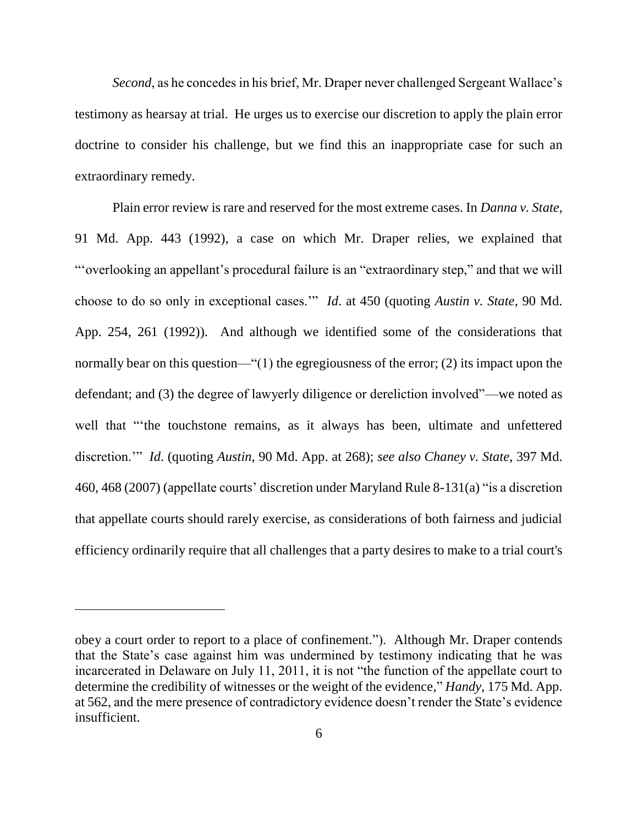*Second*, as he concedes in his brief, Mr. Draper never challenged Sergeant Wallace's testimony as hearsay at trial. He urges us to exercise our discretion to apply the plain error doctrine to consider his challenge, but we find this an inappropriate case for such an extraordinary remedy.

Plain error review is rare and reserved for the most extreme cases. In *Danna v. State*, 91 Md. App. 443 (1992), a case on which Mr. Draper relies, we explained that "'overlooking an appellant's procedural failure is an "extraordinary step," and that we will choose to do so only in exceptional cases.'" *Id*. at 450 (quoting *Austin v. State*, 90 Md. App. 254, 261 (1992)). And although we identified some of the considerations that normally bear on this question—"(1) the egregiousness of the error; (2) its impact upon the defendant; and (3) the degree of lawyerly diligence or dereliction involved"—we noted as well that "'the touchstone remains, as it always has been, ultimate and unfettered discretion.'" *Id*. (quoting *Austin*, 90 Md. App. at 268); *see also Chaney v. State*, 397 Md. 460, 468 (2007) (appellate courts' discretion under Maryland Rule 8-131(a) "is a discretion that appellate courts should rarely exercise, as considerations of both fairness and judicial efficiency ordinarily require that all challenges that a party desires to make to a trial court's

obey a court order to report to a place of confinement."). Although Mr. Draper contends that the State's case against him was undermined by testimony indicating that he was incarcerated in Delaware on July 11, 2011, it is not "the function of the appellate court to determine the credibility of witnesses or the weight of the evidence," *Handy*, 175 Md. App. at 562, and the mere presence of contradictory evidence doesn't render the State's evidence insufficient.